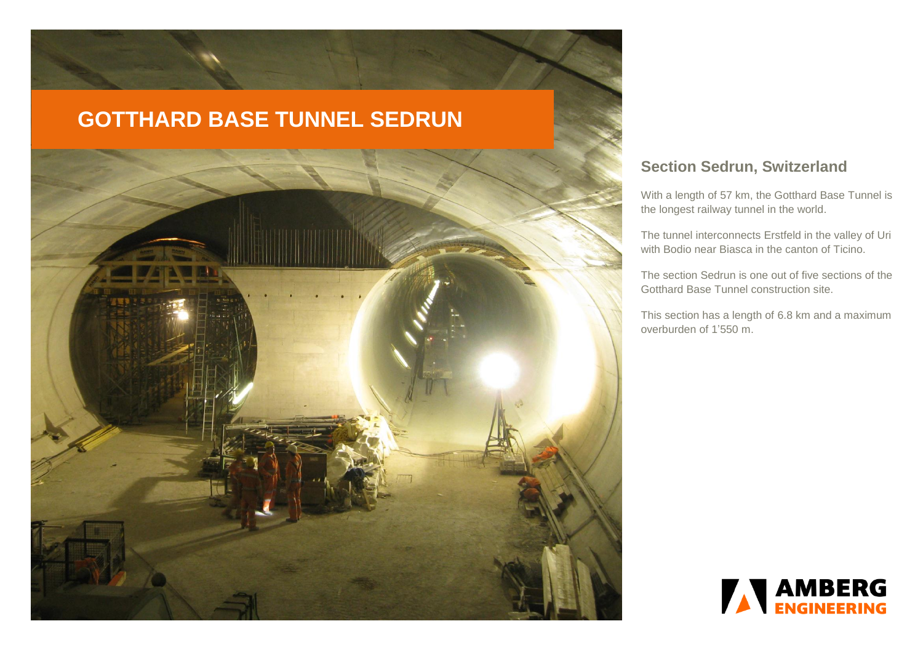

# **Section Sedrun, Switzerland**

With a length of 57 km, the Gotthard Base Tunnel is the longest railway tunnel in the world.

The tunnel interconnects [Erstfeld](http://de.wikipedia.org/wiki/Erstfeld) in the valley of Uri with [Bodio](http://de.wikipedia.org/wiki/Bodio_TI) near Biasca in the canton of Ticino.

The section Sedrun is one out of five sections of the Gotthard Base Tunnel construction site.

This section has a length of 6.8 km and a maximum overburden of 1'550 m.